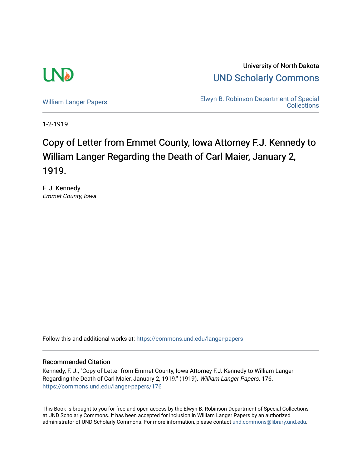

University of North Dakota [UND Scholarly Commons](https://commons.und.edu/) 

[William Langer Papers](https://commons.und.edu/langer-papers) **Elwyn B. Robinson Department of Special Collections** 

1-2-1919

# Copy of Letter from Emmet County, Iowa Attorney F.J. Kennedy to William Langer Regarding the Death of Carl Maier, January 2, 1919.

F. J. Kennedy Emmet County, Iowa

Follow this and additional works at: [https://commons.und.edu/langer-papers](https://commons.und.edu/langer-papers?utm_source=commons.und.edu%2Flanger-papers%2F176&utm_medium=PDF&utm_campaign=PDFCoverPages) 

### Recommended Citation

Kennedy, F. J., "Copy of Letter from Emmet County, Iowa Attorney F.J. Kennedy to William Langer Regarding the Death of Carl Maier, January 2, 1919." (1919). William Langer Papers. 176. [https://commons.und.edu/langer-papers/176](https://commons.und.edu/langer-papers/176?utm_source=commons.und.edu%2Flanger-papers%2F176&utm_medium=PDF&utm_campaign=PDFCoverPages) 

This Book is brought to you for free and open access by the Elwyn B. Robinson Department of Special Collections at UND Scholarly Commons. It has been accepted for inclusion in William Langer Papers by an authorized administrator of UND Scholarly Commons. For more information, please contact [und.commons@library.und.edu.](mailto:und.commons@library.und.edu)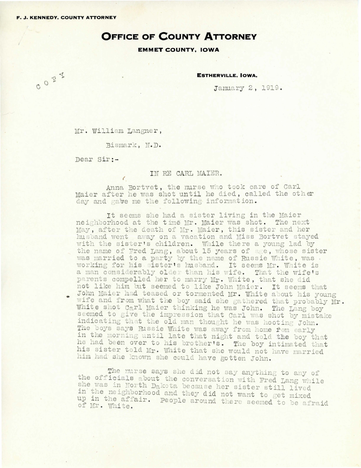CORY

## **OFFICE OF COUNTY ATTORNEY**

### **EMMET COUNTY, IOWA**

**ESTHERVILLE, IOWA.** 

January 2, 1919.

Mr. William Langner,

Bismark, N.D.

Dear Sir :-

IN RE CARL MAIER.

Anna Bortvet, the murse who took care of Carl Maier after he was shot until he died, called the other day and gabe me the following information.

It seems she had a sister living in the Maier neighborhood at the time Mr. Maier was shot. The next May, after the death of Mr. Maier, this sister and her husband went away on a vacation and Miss Bortvet stayed with the sister's children. While there a young lad by the name of Fred Lang, about 15 years of age, whose sister was married to a party by the name of Russie White, was working for his sister's husband. It seems Mr. White is a man considerably older than his wife. That the wife's parents compelled her to marry Mr. White, that she did not like him but seemed to like John Maier. It seems that John Maier had teased or tormented Mr. White about his young wife and from what the boy said she gathered that probably Mr. White shot Carl Maier thinking he was John. The Lang boy seemed to give the impression that Carl was shot by mistake indicating that the old man thought he was hooting John. The boys says Russie White was away from home fom early in the morning until late that night and told the boy that he had been over to his brother's. The boy intimated that his sister told Mr. White that she would not have married him had she known she could have gotten John.

The nurse says she did not say anything to any of the officials about the conversation with Fred Lang while she was in North Dakota because her sister still lived in the neighborhood and they did not want to get mixed up in the affair. People around there seemed to be afraid of Mr. White.